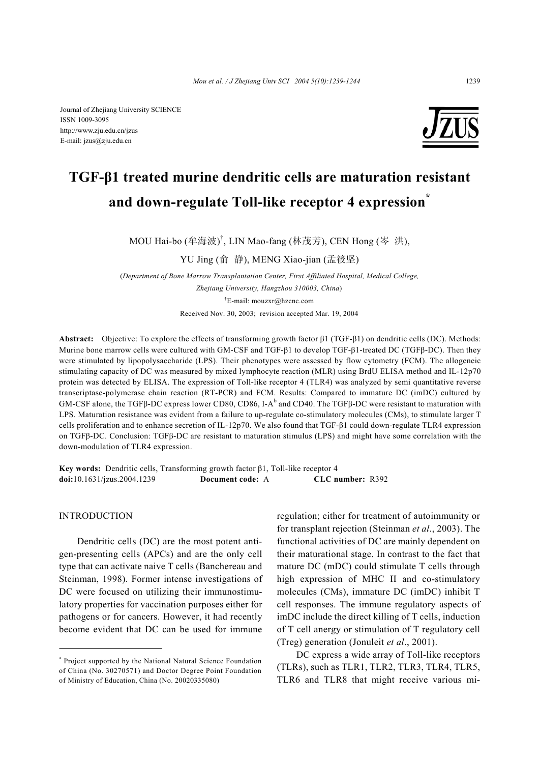Journal of Zhejiang University SCIENCE ISSN 1009-3095 http://www.zju.edu.cn/jzus E-mail: jzus@zju.edu.cn



# **TGF-β1 treated murine dendritic cells are maturation resistant and down-regulate Toll-like receptor 4 expression\***

MOU Hai-bo (牟海波) † , LIN Mao-fang (林茂芳), CEN Hong (岑 洪),

YU Jing (俞 静), MENG Xiao-jian (孟筱坚)

(*Department of Bone Marrow Transplantation Center, First Affiliated Hospital, Medical College, Zhejiang University, Hangzhou 310003, China*) † E-mail: mouzxr@hzcnc.com Received Nov. 30, 2003; revision accepted Mar. 19, 2004

**Abstract:** Objective: To explore the effects of transforming growth factor β1 (TGF-β1) on dendritic cells (DC). Methods: Murine bone marrow cells were cultured with GM-CSF and TGF-β1 to develop TGF-β1-treated DC (TGFβ-DC). Then they were stimulated by lipopolysaccharide (LPS). Their phenotypes were assessed by flow cytometry (FCM). The allogeneic stimulating capacity of DC was measured by mixed lymphocyte reaction (MLR) using BrdU ELISA method and IL-12p70 protein was detected by ELISA. The expression of Toll-like receptor 4 (TLR4) was analyzed by semi quantitative reverse transcriptase-polymerase chain reaction (RT-PCR) and FCM. Results: Compared to immature DC (imDC) cultured by GM-CSF alone, the TGFβ-DC express lower CD80, CD86, I-A<sup>b</sup> and CD40. The TGFβ-DC were resistant to maturation with LPS. Maturation resistance was evident from a failure to up-regulate co-stimulatory molecules (CMs), to stimulate larger T cells proliferation and to enhance secretion of IL-12p70. We also found that TGF-β1 could down-regulate TLR4 expression on TGFβ-DC. Conclusion: TGFβ-DC are resistant to maturation stimulus (LPS) and might have some correlation with the down-modulation of TLR4 expression.

**Key words:** Dendritic cells, Transforming growth factor β1, Toll-like receptor 4 **doi:**10.1631/jzus.2004.1239 **Document code:** A **CLC number:** R392

INTRODUCTION

Dendritic cells (DC) are the most potent antigen-presenting cells (APCs) and are the only cell type that can activate naive T cells (Banchereau and Steinman, 1998). Former intense investigations of DC were focused on utilizing their immunostimulatory properties for vaccination purposes either for pathogens or for cancers. However, it had recently become evident that DC can be used for immune

regulation; either for treatment of autoimmunity or for transplant rejection (Steinman *et al*., 2003). The functional activities of DC are mainly dependent on their maturational stage. In contrast to the fact that mature DC (mDC) could stimulate T cells through high expression of MHC II and co-stimulatory molecules (CMs), immature DC (imDC) inhibit T cell responses. The immune regulatory aspects of imDC include the direct killing of T cells, induction of T cell anergy or stimulation of T regulatory cell (Treg) generation (Jonuleit *et al*., 2001).

DC express a wide array of Toll-like receptors (TLRs), such as TLR1, TLR2, TLR3, TLR4, TLR5, TLR6 and TLR8 that might receive various mi-

<sup>\*</sup> Project supported by the National Natural Science Foundation of China (No. 30270571) and Doctor Degree Point Foundation of Ministry of Education, China (No. 20020335080)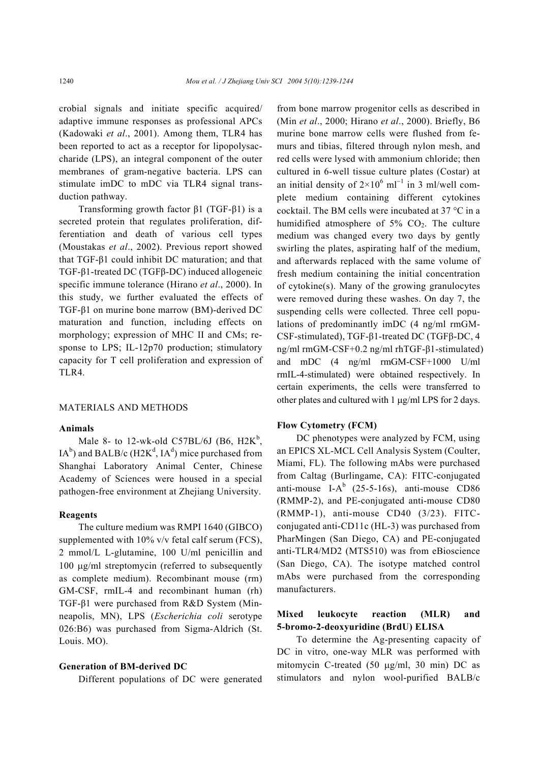crobial signals and initiate specific acquired/ adaptive immune responses as professional APCs (Kadowaki *et al*., 2001). Among them, TLR4 has been reported to act as a receptor for lipopolysaccharide (LPS), an integral component of the outer membranes of gram-negative bacteria. LPS can stimulate imDC to mDC via TLR4 signal transduction pathway.

Transforming growth factor β1 (TGF-β1) is a secreted protein that regulates proliferation, differentiation and death of various cell types (Moustakas *et al*., 2002). Previous report showed that TGF-β1 could inhibit DC maturation; and that TGF-β1-treated DC (TGFβ-DC) induced allogeneic specific immune tolerance (Hirano *et al*., 2000). In this study, we further evaluated the effects of TGF-β1 on murine bone marrow (BM)-derived DC maturation and function, including effects on morphology; expression of MHC II and CMs; response to LPS; IL-12p70 production; stimulatory capacity for T cell proliferation and expression of TLR4.

#### MATERIALS AND METHODS

#### **Animals**

Male 8- to 12-wk-old C57BL/6J (B6,  $H2K^b$ ,  $IA<sup>b</sup>$ ) and BALB/c (H2K<sup>d</sup>, IA<sup>d</sup>) mice purchased from Shanghai Laboratory Animal Center, Chinese Academy of Sciences were housed in a special pathogen-free environment at Zhejiang University.

# **Reagents**

The culture medium was RMPI 1640 (GIBCO) supplemented with 10% v/v fetal calf serum (FCS), 2 mmol/L L-glutamine, 100 U/ml penicillin and 100 µg/ml streptomycin (referred to subsequently as complete medium). Recombinant mouse (rm) GM-CSF, rmIL-4 and recombinant human (rh) TGF-β1 were purchased from R&D System (Minneapolis, MN), LPS (*Escherichia coli* serotype 026:B6) was purchased from Sigma-Aldrich (St. Louis. MO).

# **Generation of BM-derived DC**

Different populations of DC were generated

from bone marrow progenitor cells as described in (Min *et al*., 2000; Hirano *et al*., 2000). Briefly, B6 murine bone marrow cells were flushed from femurs and tibias, filtered through nylon mesh, and red cells were lysed with ammonium chloride; then cultured in 6-well tissue culture plates (Costar) at an initial density of  $2\times10^6$  ml<sup>-1</sup> in 3 ml/well complete medium containing different cytokines cocktail. The BM cells were incubated at 37 °C in a humidified atmosphere of  $5\%$  CO<sub>2</sub>. The culture medium was changed every two days by gently swirling the plates, aspirating half of the medium, and afterwards replaced with the same volume of fresh medium containing the initial concentration of cytokine(s). Many of the growing granulocytes were removed during these washes. On day 7, the suspending cells were collected. Three cell populations of predominantly imDC (4 ng/ml rmGM-CSF-stimulated), TGF-β1-treated DC (TGFβ-DC, 4 ng/ml rmGM-CSF+0.2 ng/ml rhTGF-β1-stimulated) and mDC (4 ng/ml rmGM-CSF+1000 U/ml rmIL-4-stimulated) were obtained respectively. In certain experiments, the cells were transferred to other plates and cultured with 1 µg/ml LPS for 2 days.

# **Flow Cytometry (FCM)**

DC phenotypes were analyzed by FCM, using an EPICS XL-MCL Cell Analysis System (Coulter, Miami, FL). The following mAbs were purchased from Caltag (Burlingame, CA): FITC-conjugated anti-mouse I- $A^b$  (25-5-16s), anti-mouse CD86 (RMMP-2), and PE-conjugated anti-mouse CD80 (RMMP-1), anti-mouse CD40 (3/23). FITCconjugated anti-CD11c (HL-3) was purchased from PharMingen (San Diego, CA) and PE-conjugated anti-TLR4/MD2 (MTS510) was from eBioscience (San Diego, CA). The isotype matched control mAbs were purchased from the corresponding manufacturers.

# **Mixed leukocyte reaction (MLR) and 5-bromo-2-deoxyuridine (BrdU) ELISA**

To determine the Ag-presenting capacity of DC in vitro, one-way MLR was performed with mitomycin C-treated (50 µg/ml, 30 min) DC as stimulators and nylon wool-purified BALB/c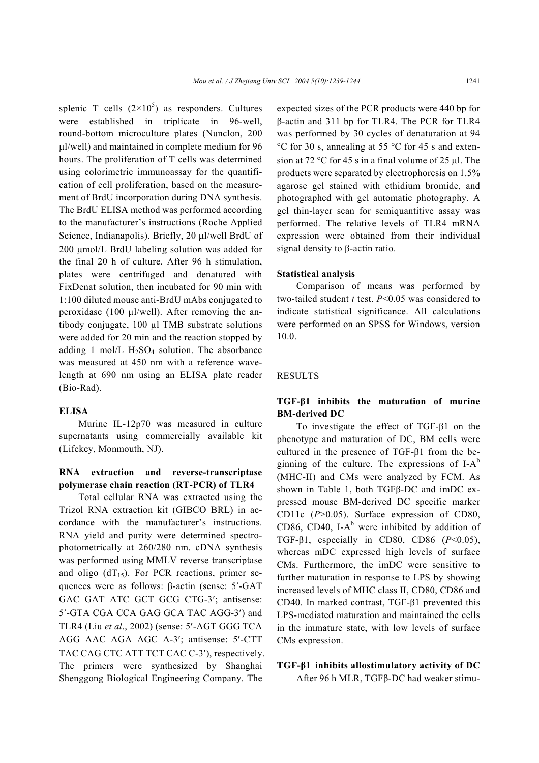splenic T cells  $(2\times10^5)$  as responders. Cultures were established in triplicate in 96-well, round-bottom microculture plates (Nunclon, 200 µl/well) and maintained in complete medium for 96 hours. The proliferation of T cells was determined using colorimetric immunoassay for the quantification of cell proliferation, based on the measurement of BrdU incorporation during DNA synthesis. The BrdU ELISA method was performed according to the manufacturer's instructions (Roche Applied Science, Indianapolis). Briefly, 20 µl/well BrdU of 200 umol/L BrdU labeling solution was added for the final 20 h of culture. After 96 h stimulation, plates were centrifuged and denatured with FixDenat solution, then incubated for 90 min with 1:100 diluted mouse anti-BrdU mAbs conjugated to peroxidase (100  $\mu$ l/well). After removing the antibody conjugate, 100 µl TMB substrate solutions were added for 20 min and the reaction stopped by adding 1 mol/L  $H<sub>2</sub>SO<sub>4</sub>$  solution. The absorbance was measured at 450 nm with a reference wavelength at 690 nm using an ELISA plate reader (Bio-Rad).

#### **ELISA**

Murine IL-12p70 was measured in culture supernatants using commercially available kit (Lifekey, Monmouth, NJ).

# **RNA extraction and reverse-transcriptase polymerase chain reaction (RT-PCR) of TLR4**

Total cellular RNA was extracted using the Trizol RNA extraction kit (GIBCO BRL) in accordance with the manufacturer's instructions. RNA yield and purity were determined spectrophotometrically at 260/280 nm. cDNA synthesis was performed using MMLV reverse transcriptase and oligo  $(dT_{15})$ . For PCR reactions, primer sequences were as follows: β-actin (sense: 5′-GAT GAC GAT ATC GCT GCG CTG-3′; antisense: 5′-GTA CGA CCA GAG GCA TAC AGG-3′) and TLR4 (Liu *et al*., 2002) (sense: 5′-AGT GGG TCA AGG AAC AGA AGC A-3′; antisense: 5′-CTT TAC CAG CTC ATT TCT CAC C-3′), respectively. The primers were synthesized by Shanghai Shenggong Biological Engineering Company. The

expected sizes of the PCR products were 440 bp for β-actin and 311 bp for TLR4. The PCR for TLR4 was performed by 30 cycles of denaturation at 94 °C for 30 s, annealing at 55 °C for 45 s and extension at 72 °C for 45 s in a final volume of 25  $\mu$ l. The products were separated by electrophoresis on 1.5% agarose gel stained with ethidium bromide, and photographed with gel automatic photography. A gel thin-layer scan for semiquantitive assay was performed. The relative levels of TLR4 mRNA expression were obtained from their individual signal density to β-actin ratio.

# **Statistical analysis**

Comparison of means was performed by two-tailed student *t* test. *P*<0.05 was considered to indicate statistical significance. All calculations were performed on an SPSS for Windows, version 10.0.

#### RESULTS

# **TGF-β1 inhibits the maturation of murine BM-derived DC**

To investigate the effect of TGF-β1 on the phenotype and maturation of DC, BM cells were cultured in the presence of TGF-β1 from the beginning of the culture. The expressions of  $I-A^b$ (MHC-II) and CMs were analyzed by FCM. As shown in Table 1, both TGFβ-DC and imDC expressed mouse BM-derived DC specific marker CD11c (*P*>0.05). Surface expression of CD80, CD86, CD40, I- $A^b$  were inhibited by addition of TGF-β1, especially in CD80, CD86 (*P*<0.05), whereas mDC expressed high levels of surface CMs. Furthermore, the imDC were sensitive to further maturation in response to LPS by showing increased levels of MHC class II, CD80, CD86 and CD40. In marked contrast, TGF-β1 prevented this LPS-mediated maturation and maintained the cells in the immature state, with low levels of surface CMs expression.

### **TGF-β1 inhibits allostimulatory activity of DC**

After 96 h MLR, TGFβ-DC had weaker stimu-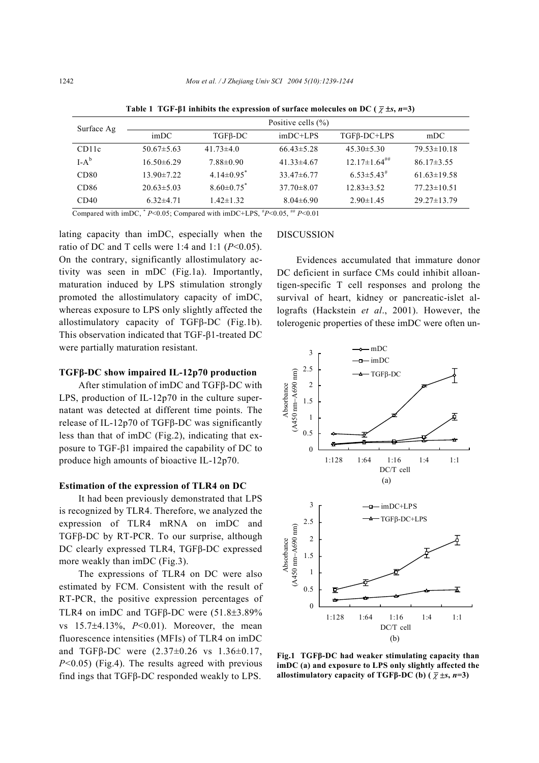| Surface Ag         |                  |                            | Positive cells $(\% )$ |                                |                   |
|--------------------|------------------|----------------------------|------------------------|--------------------------------|-------------------|
|                    | imDC             | $TGFB-DC$                  | $imDC+LPS$             | $TGF\beta-DC+LPS$              | mDC               |
| CD <sub>11</sub> c | $50.67 \pm 5.63$ | $41.73\pm4.0$              | $66.43 \pm 5.28$       | $45.30 \pm 5.30$               | $79.53 \pm 10.18$ |
| $I-A^b$            | $16.50\pm 6.29$  | $7.88 \pm 0.90$            | $41.33\pm4.67$         | $12.17 \pm 1.64$ <sup>##</sup> | $86.17\pm3.55$    |
| CD80               | $13.90 \pm 7.22$ | $4.14\pm0.95$ <sup>*</sup> | $33.47\pm 6.77$        | $6.53 \pm 5.43$ <sup>#</sup>   | $61.63 \pm 19.58$ |
| CD <sub>86</sub>   | $20.63 \pm 5.03$ | $8.60\pm0.75$ <sup>*</sup> | $37.70 \pm 8.07$       | $12.83 \pm 3.52$               | $77.23 \pm 10.51$ |
| CD40               | $6.32\pm4.71$    | $1.42 \pm 1.32$            | $8.04\pm 6.90$         | $2.90 \pm 1.45$                | $29.27 \pm 13.79$ |

**Table 1 TGF-** $\beta$ **1 inhibits the expression of surface molecules on DC (** $\bar{\chi}$  **±***s***,** *n***=3)** 

Compared with imDC,  $* P<0.05$ ; Compared with imDC+LPS,  $* P<0.05$ ,  $* P<0.01$ 

lating capacity than imDC, especially when the ratio of DC and T cells were 1:4 and 1:1  $(P<0.05)$ . On the contrary, significantly allostimulatory activity was seen in mDC (Fig.1a). Importantly, maturation induced by LPS stimulation strongly promoted the allostimulatory capacity of imDC, whereas exposure to LPS only slightly affected the allostimulatory capacity of TGFβ-DC (Fig.1b). This observation indicated that TGF-β1-treated DC were partially maturation resistant.

# **TGFβ-DC show impaired IL-12p70 production**

After stimulation of imDC and TGFβ-DC with LPS, production of IL-12p70 in the culture supernatant was detected at different time points. The release of IL-12p70 of TGFβ-DC was significantly less than that of imDC (Fig.2), indicating that exposure to TGF-β1 impaired the capability of DC to produce high amounts of bioactive IL-12p70.

# **Estimation of the expression of TLR4 on DC**

It had been previously demonstrated that LPS is recognized by TLR4. Therefore, we analyzed the expression of TLR4 mRNA on imDC and TGFβ-DC by RT-PCR. To our surprise, although DC clearly expressed TLR4, TGFβ-DC expressed more weakly than imDC (Fig.3).

The expressions of TLR4 on DC were also estimated by FCM. Consistent with the result of RT-PCR, the positive expression percentages of TLR4 on imDC and TGFβ-DC were (51.8±3.89% vs 15.7±4.13%, *P*<0.01). Moreover, the mean fluorescence intensities (MFIs) of TLR4 on imDC and TGFβ-DC were (2.37±0.26 vs 1.36±0.17, *P*<0.05) (Fig.4). The results agreed with previous find ings that TGFβ-DC responded weakly to LPS.

# **DISCUSSION**

Evidences accumulated that immature donor DC deficient in surface CMs could inhibit alloantigen-specific T cell responses and prolong the survival of heart, kidney or pancreatic-islet allografts (Hackstein *et al*., 2001). However, the tolerogenic properties of these imDC were often un-



**Fig.1 TGFβ-DC had weaker stimulating capacity than imDC (a) and exposure to LPS only slightly affected the allostimulatory capacity of TGFβ-DC (b) (** $\bar{\chi}$  **±***s***,** *n***=3)**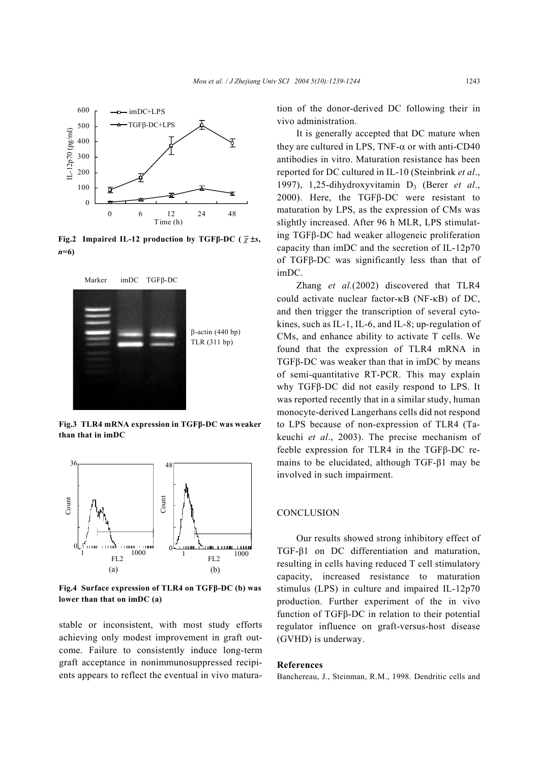

**Fig.2 Impaired IL-12 production by TGFβ-DC (** <sup>χ</sup> ±*s***,**  *n***=6)**



**Fig.3 TLR4 mRNA expression in TGFβ-DC was weaker than that in imDC**



**Fig.4 Surface expression of TLR4 on TGFβ-DC (b) was lower than that on imDC (a)**

stable or inconsistent, with most study efforts achieving only modest improvement in graft outcome. Failure to consistently induce long-term graft acceptance in nonimmunosuppressed recipients appears to reflect the eventual in vivo maturation of the donor-derived DC following their in vivo administration.

It is generally accepted that DC mature when they are cultured in LPS, TNF- $\alpha$  or with anti-CD40 antibodies in vitro. Maturation resistance has been reported for DC cultured in IL-10 (Steinbrink *et al*., 1997), 1,25-dihydroxyvitamin D3 (Berer *et al*., 2000). Here, the TGFβ-DC were resistant to maturation by LPS, as the expression of CMs was slightly increased. After 96 h MLR, LPS stimulating TGFβ-DC had weaker allogeneic proliferation capacity than imDC and the secretion of IL-12p70 of TGFβ-DC was significantly less than that of imDC.

Zhang *et al.*(2002) discovered that TLR4 could activate nuclear factor-κB (NF-κB) of DC, and then trigger the transcription of several cytokines, such as IL-1, IL-6, and IL-8; up-regulation of CMs, and enhance ability to activate T cells. We found that the expression of TLR4 mRNA in TGFβ-DC was weaker than that in imDC by means of semi-quantitative RT-PCR. This may explain why TGFβ-DC did not easily respond to LPS. It was reported recently that in a similar study, human monocyte-derived Langerhans cells did not respond to LPS because of non-expression of TLR4 (Takeuchi *et al*., 2003). The precise mechanism of feeble expression for TLR4 in the TGFβ-DC remains to be elucidated, although TGF-β1 may be involved in such impairment.

# **CONCLUSION**

Our results showed strong inhibitory effect of TGF-β1 on DC differentiation and maturation, resulting in cells having reduced T cell stimulatory capacity, increased resistance to maturation stimulus (LPS) in culture and impaired IL-12p70 production. Further experiment of the in vivo function of TGFβ-DC in relation to their potential regulator influence on graft-versus-host disease (GVHD) is underway.

#### **References**

Banchereau, J., Steinman, R.M., 1998. Dendritic cells and